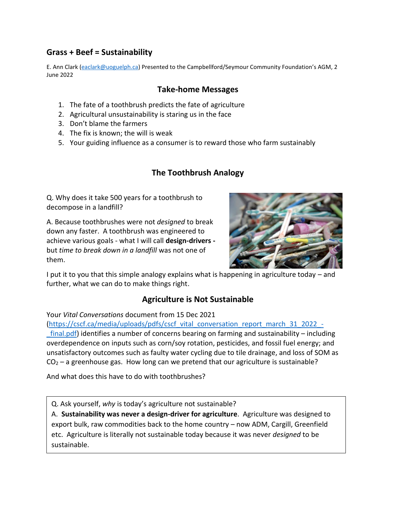## **Grass + Beef = Sustainability**

E. Ann Clark [\(eaclark@uoguelph.ca](mailto:eaclark@uoguelph.ca)) Presented to the Campbellford/Seymour Community Foundation's AGM, 2 June 2022

#### **Take-home Messages**

- 1. The fate of a toothbrush predicts the fate of agriculture
- 2. Agricultural unsustainability is staring us in the face
- 3. Don't blame the farmers
- 4. The fix is known; the will is weak
- 5. Your guiding influence as a consumer is to reward those who farm sustainably

# **The Toothbrush Analogy**

Q. Why does it take 500 years for a toothbrush to decompose in a landfill?

A. Because toothbrushes were not *designed* to break down any faster. A toothbrush was engineered to achieve various goals - what I will call **design-drivers**  but *time to break down in a landfill* was not one of them.



I put it to you that this simple analogy explains what is happening in agriculture today – and further, what we can do to make things right.

## **Agriculture is Not Sustainable**

Your *Vital Conversations* document from 15 Dec 2021

[\(https://cscf.ca/media/uploads/pdfs/cscf\\_vital\\_conversation\\_report\\_march\\_31\\_2022\\_](https://cscf.ca/media/uploads/pdfs/cscf_vital_conversation_report_march_31_2022_-_final.pdf) final.pdf) identifies a number of concerns bearing on farming and sustainability – including overdependence on inputs such as corn/soy rotation, pesticides, and fossil fuel energy; and unsatisfactory outcomes such as faulty water cycling due to tile drainage, and loss of SOM as  $CO<sub>2</sub> - a$  greenhouse gas. How long can we pretend that our agriculture is sustainable?

And what does this have to do with toothbrushes?

Q. Ask yourself, *why* is today's agriculture not sustainable?

A. **Sustainability was never a design-driver for agriculture**. Agriculture was designed to export bulk, raw commodities back to the home country – now ADM, Cargill, Greenfield etc. Agriculture is literally not sustainable today because it was never *designed* to be sustainable.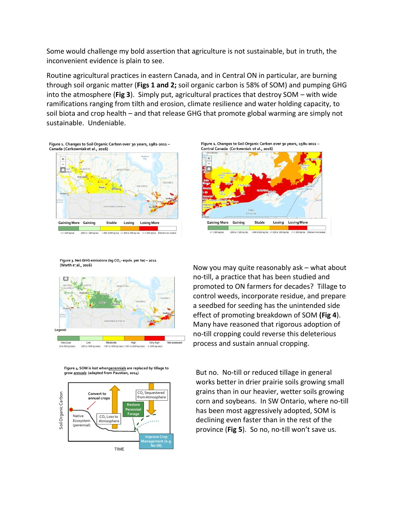Some would challenge my bold assertion that agriculture is not sustainable, but in truth, the inconvenient evidence is plain to see.

Routine agricultural practices in eastern Canada, and in Central ON in particular, are burning through soil organic matter (**Figs 1 and 2;** soil organic carbon is 58% of SOM) and pumping GHG into the atmosphere (**Fig 3**). Simply put, agricultural practices that destroy SOM – with wide ramifications ranging from tilth and erosion, climate resilience and water holding capacity, to soil biota and crop health – and that release GHG that promote global warming are simply not sustainable. Undeniable.

Figure 1. Changes to Soil Organic Carbon over 30 years, 1981-2011 -Canada (Cerkowniaket al., 2016)







Figure 3. Net GHG emissions (kg CO<sub>2</sub>-equiv. per ha) - 2011 (Worth et al., 2016)







Now you may quite reasonably ask – what about no-till, a practice that has been studied and promoted to ON farmers for decades? Tillage to control weeds, incorporate residue, and prepare a seedbed for seeding has the unintended side effect of promoting breakdown of SOM **(Fig 4**). Many have reasoned that rigorous adoption of no-till cropping could reverse this deleterious process and sustain annual cropping.

But no. No-till or reduced tillage in general works better in drier prairie soils growing small grains than in our heavier, wetter soils growing corn and soybeans. In SW Ontario, where no-till has been most aggressively adopted, SOM is declining even faster than in the rest of the province (**Fig 5**). So no, no-till won't save us.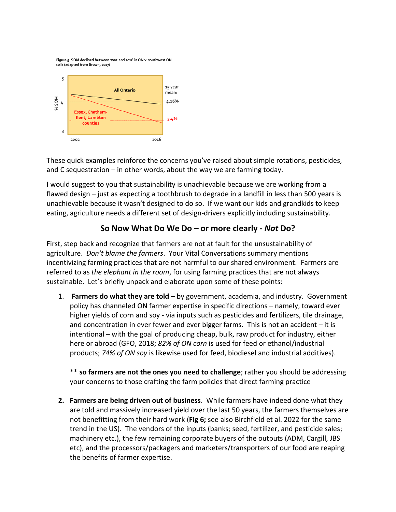Figure 5. SOM declined between 2002 and 2016 in ON v. southwest ON soils (adapted from Brown, 2017)



These quick examples reinforce the concerns you've raised about simple rotations, pesticides, and C sequestration – in other words, about the way we are farming today.

I would suggest to you that sustainability is unachievable because we are working from a flawed design – just as expecting a toothbrush to degrade in a landfill in less than 500 years is unachievable because it wasn't designed to do so. If we want our kids and grandkids to keep eating, agriculture needs a different set of design-drivers explicitly including sustainability.

# **So Now What Do We Do – or more clearly -** *Not* **Do?**

First, step back and recognize that farmers are not at fault for the unsustainability of agriculture. *Don't blame the farmers*. Your Vital Conversations summary mentions incentivizing farming practices that are not harmful to our shared environment. Farmers are referred to as *the elephant in the room*, for using farming practices that are not always sustainable. Let's briefly unpack and elaborate upon some of these points:

1. **Farmers do what they are told** – by government, academia, and industry. Government policy has channeled ON farmer expertise in specific directions – namely, toward ever higher yields of corn and soy - via inputs such as pesticides and fertilizers, tile drainage, and concentration in ever fewer and ever bigger farms. This is not an accident – it is intentional – with the goal of producing cheap, bulk, raw product for industry, either here or abroad (GFO, 2018; *82% of ON corn* is used for feed or ethanol/industrial products; *74% of ON soy* is likewise used for feed, biodiesel and industrial additives).

\*\* **so farmers are not the ones you need to challenge**; rather you should be addressing your concerns to those crafting the farm policies that direct farming practice

**2. Farmers are being driven out of business**. While farmers have indeed done what they are told and massively increased yield over the last 50 years, the farmers themselves are not benefitting from their hard work (**Fig 6;** see also Birchfield et al. 2022 for the same trend in the US). The vendors of the inputs (banks; seed, fertilizer, and pesticide sales; machinery etc.), the few remaining corporate buyers of the outputs (ADM, Cargill, JBS etc), and the processors/packagers and marketers/transporters of our food are reaping the benefits of farmer expertise.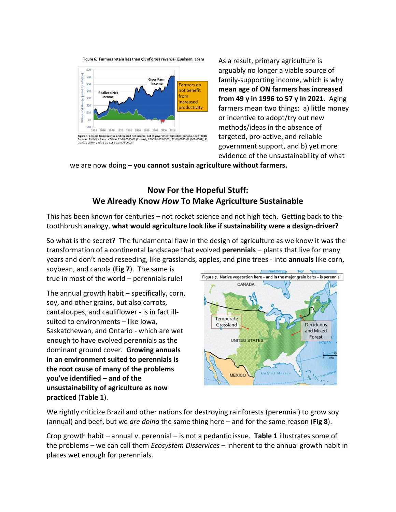Figure 6. Farmers retain less than 5% of gross revenue (Qualman, 2019)



As a result, primary agriculture is arguably no longer a viable source of family-supporting income, which is why **mean age of ON farmers has increased from 49 y in 1996 to 57 y in 2021**. Aging farmers mean two things: a) little money or incentive to adopt/try out new methods/ideas in the absence of targeted, pro-active, and reliable government support, and b) yet more evidence of the unsustainability of what

we are now doing – **you cannot sustain agriculture without farmers.**

### **Now For the Hopeful Stuff: We Already Know** *How* **To Make Agriculture Sustainable**

This has been known for centuries – not rocket science and not high tech. Getting back to the toothbrush analogy, **what would agriculture look like if sustainability were a design-driver?**

So what is the secret? The fundamental flaw in the design of agriculture as we know it was the transformation of a continental landscape that evolved **perennials** – plants that live for many years and don't need reseeding, like grasslands, apples, and pine trees - into **annuals** like corn,

soybean, and canola (**Fig 7**). The same is true in most of the world – perennials rule!

The annual growth habit – specifically, corn, soy, and other grains, but also carrots, cantaloupes, and cauliflower - is in fact illsuited to environments – like Iowa, Saskatchewan, and Ontario - which are wet enough to have evolved perennials as the dominant ground cover. **Growing annuals in an environment suited to perennials is the root cause of many of the problems you've identified – and of the unsustainability of agriculture as now practiced** (**Table 1**).



We rightly criticize Brazil and other nations for destroying rainforests (perennial) to grow soy (annual) and beef, but we *are doing* the same thing here – and for the same reason (**Fig 8**).

Crop growth habit – annual v. perennial – is not a pedantic issue. **Table 1** illustrates some of the problems – we can call them *Ecosystem Disservices* – inherent to the annual growth habit in places wet enough for perennials.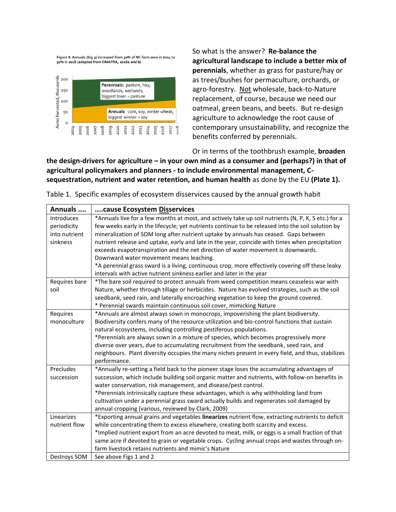Figure 8. Annuals (big 3) increased from 30% of NC farm area in 2004 to 50% in 2018 (adapted from OMAFRA, 2016a and b)



So what is the answer? **Re-balance the agricultural landscape to include a better mix of perennials**, whether as grass for pasture/hay or as trees/bushes for permaculture, orchards, or agro-forestry. Not wholesale, back-to-Nature replacement, of course, because we need our oatmeal, green beans, and beets. But re-design agriculture to acknowledge the root cause of contemporary unsustainability, and recognize the benefits conferred by perennials.

Or in terms of the toothbrush example, **broaden** 

**the design-drivers for agriculture – in your own mind as a consumer and (perhaps?) in that of agricultural policymakers and planners - to include environmental management, Csequestration, nutrient and water retention, and human health** as done by the EU **(Plate 1).**

| Annuals       | cause Ecosystem Disservices                                                                         |
|---------------|-----------------------------------------------------------------------------------------------------|
| Introduces    | *Annuals live for a few months at most, and actively take up soil nutrients (N, P, K, S etc.) for a |
| periodicity   | few weeks early in the lifecycle; yet nutrients continue to be released into the soil solution by   |
| into nutrient | mineralization of SOM long after nutrient uptake by annuals has ceased. Gaps between                |
| sinkness      | nutrient release and uptake, early and late in the year, coincide with times when precipitation     |
|               | exceeds evapotranspiration and the net direction of water movement is downwards.                    |
|               | Downward water movement means leaching.                                                             |
|               | *A perennial grass sward is a living, continuous crop, more effectively covering off these leaky    |
|               | intervals with active nutrient sinkness earlier and later in the year                               |
| Requires bare | *The bare soil required to protect annuals from weed competition means ceaseless war with           |
| soil          | Nature, whether through tillage or herbicides. Nature has evolved strategies, such as the soil      |
|               | seedbank, seed rain, and laterally encroaching vegetation to keep the ground covered.               |
|               | * Perennial swards maintain continuous soil cover, mimicking Nature                                 |
| Requires      | *Annuals are almost always sown in monocrops, impoverishing the plant biodiversity.                 |
| monoculture   | Biodiversity confers many of the resource utilization and bio-control functions that sustain        |
|               | natural ecosystems, including controlling pestiferous populations.                                  |
|               | *Perennials are always sown in a mixture of species, which becomes progressively more               |
|               | diverse over years, due to accumulating recruitment from the seedbank, seed rain, and               |
|               | neighbours. Plant diversity occupies the many niches present in every field, and thus, stabilizes   |
|               | performance.                                                                                        |
| Precludes     | *Annually re-setting a field back to the pioneer stage loses the accumulating advantages of         |
| succession    | succession, which include building soil organic matter and nutrients, with follow-on benefits in    |
|               | water conservation, risk management, and disease/pest control.                                      |
|               | *Perennials intrinsically capture these advantages, which is why withholding land from              |
|               | cultivation under a perennial grass sward actually builds and regenerates soil damaged by           |
|               | annual cropping (various, reviewed by Clark, 2009)                                                  |
| Linearizes    | *Exporting annual grains and vegetables linearizes nutrient flow, extracting nutrients to deficit   |
| nutrient flow | while concentrating them to excess elsewhere, creating both scarcity and excess.                    |
|               | *Implied nutrient export from an acre devoted to meat, milk, or eggs is a small fraction of that    |
|               | same acre if devoted to grain or vegetable crops. Cycling annual crops and wastes through on-       |
|               | farm livestock retains nutrients and mimic's Nature                                                 |
| Destroys SOM  | See above Figs 1 and 2                                                                              |

Table 1. Specific examples of ecosystem disservices caused by the annual growth habit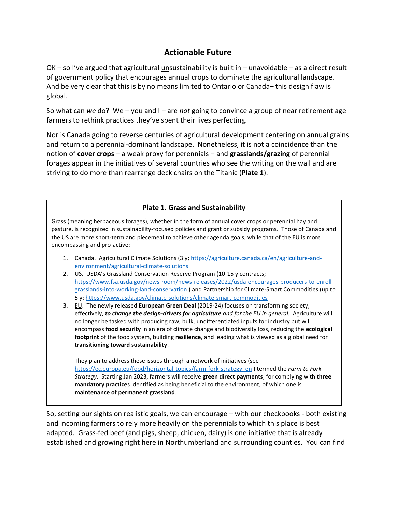### **Actionable Future**

 $OK - so$  I've argued that agricultural unsustainability is built in – unavoidable – as a direct result of government policy that encourages annual crops to dominate the agricultural landscape. And be very clear that this is by no means limited to Ontario or Canada– this design flaw is global.

So what can *we* do? We – you and I – are *not* going to convince a group of near retirement age farmers to rethink practices they've spent their lives perfecting.

Nor is Canada going to reverse centuries of agricultural development centering on annual grains and return to a perennial-dominant landscape. Nonetheless, it is not a coincidence than the notion of **cover crops** – a weak proxy for perennials – and **grasslands/grazing** of perennial forages appear in the initiatives of several countries who see the writing on the wall and are striving to do more than rearrange deck chairs on the Titanic (**Plate 1**).

#### **Plate 1. Grass and Sustainability**

Grass (meaning herbaceous forages), whether in the form of annual cover crops or perennial hay and pasture, is recognized in sustainability-focused policies and grant or subsidy programs. Those of Canada and the US are more short-term and piecemeal to achieve other agenda goals, while that of the EU is more encompassing and pro-active:

- 1. Canada. Agricultural Climate Solutions (3 y; [https://agriculture.canada.ca/en/agriculture-and](https://agriculture.canada.ca/en/agriculture-and-environment/agricultural-climate-solutions)[environment/agricultural-climate-solutions](https://agriculture.canada.ca/en/agriculture-and-environment/agricultural-climate-solutions)
- 2. U.S. USDA's Grassland Conservation Reserve Program (10-15 y contracts; [https://www.fsa.usda.gov/news-room/news-releases/2022/usda-encourages-producers-to-enroll](https://www.fsa.usda.gov/news-room/news-releases/2022/usda-encourages-producers-to-enroll-grasslands-into-working-land-conservation)[grasslands-into-working-land-conservation](https://www.fsa.usda.gov/news-room/news-releases/2022/usda-encourages-producers-to-enroll-grasslands-into-working-land-conservation) ) and Partnership for Climate-Smart Commodities (up to 5 y[; https://www.usda.gov/climate-solutions/climate-smart-commodities](https://www.usda.gov/climate-solutions/climate-smart-commodities)
- 3. EU. The newly released **European Green Deal** (2019-24) focuses on transforming society, effectively, *to change the design-drivers for agriculture and for the EU in general.* Agriculture will no longer be tasked with producing raw, bulk, undifferentiated inputs for industry but will encompass **food security** in an era of climate change and biodiversity loss, reducing the **ecological footprint** of the food system, building **resilience**, and leading what is viewed as a global need for **transitioning toward sustainability**.

They plan to address these issues through a network of initiatives (see [https://ec.europa.eu/food/horizontal-topics/farm-fork-strategy\\_en](https://ec.europa.eu/food/horizontal-topics/farm-fork-strategy_en) ) termed the *Farm to Fork Strategy.* Starting Jan 2023, farmers will receive **green direct payments**, for complying with **three mandatory practice**s identified as being beneficial to the environment, of which one is **maintenance of permanent grassland**.

So, setting our sights on realistic goals, we can encourage – with our checkbooks - both existing and incoming farmers to rely more heavily on the perennials to which this place is best adapted. Grass-fed beef (and pigs, sheep, chicken, dairy) is one initiative that is already established and growing right here in Northumberland and surrounding counties. You can find